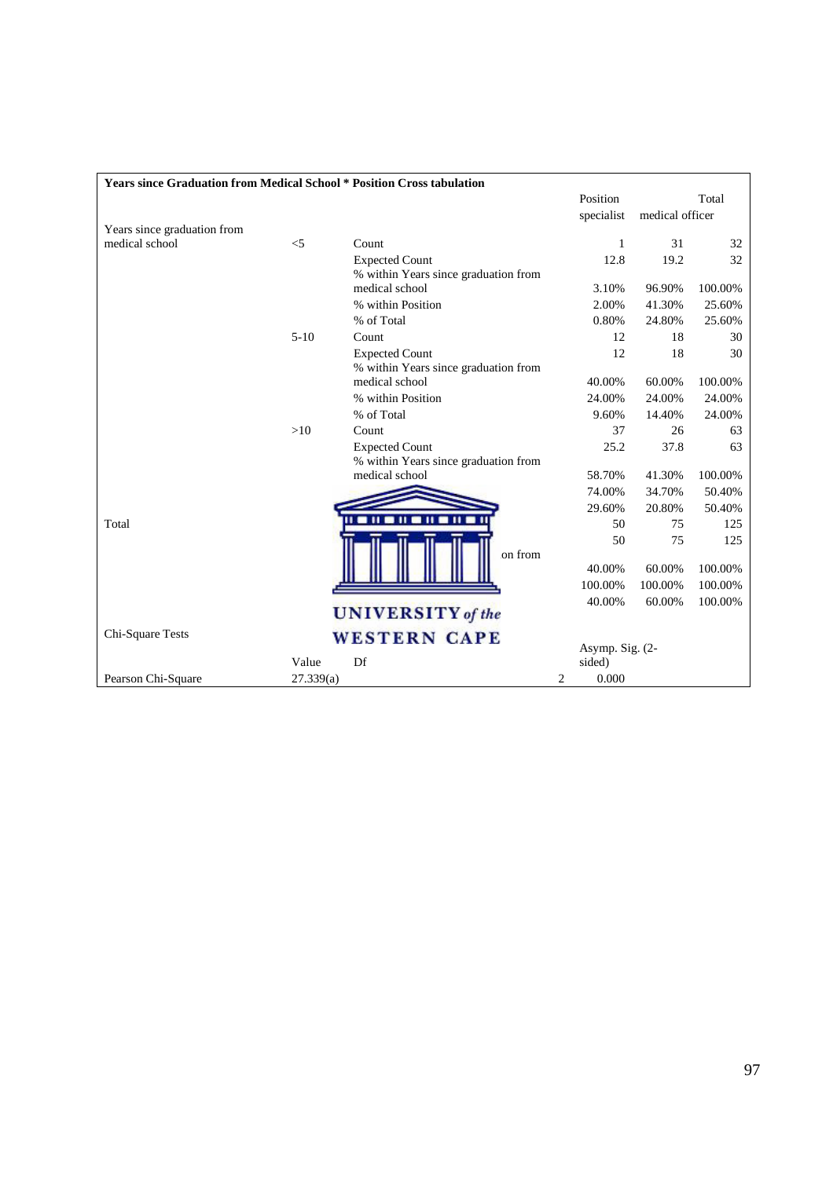| <b>Years since Graduation from Medical School * Position Cross tabulation</b> |           |                                      |            |                 |         |  |
|-------------------------------------------------------------------------------|-----------|--------------------------------------|------------|-----------------|---------|--|
|                                                                               |           |                                      | Position   |                 | Total   |  |
|                                                                               |           |                                      | specialist | medical officer |         |  |
| Years since graduation from                                                   |           |                                      |            |                 |         |  |
| medical school                                                                | $<$ 5     | Count                                | 1          | 31              | 32      |  |
|                                                                               |           | <b>Expected Count</b>                | 12.8       | 19.2            | 32      |  |
|                                                                               |           | % within Years since graduation from |            |                 |         |  |
|                                                                               |           | medical school                       | 3.10%      | 96.90%          | 100.00% |  |
|                                                                               |           | % within Position                    | 2.00%      | 41.30%          | 25.60%  |  |
|                                                                               |           | % of Total                           | 0.80%      | 24.80%          | 25.60%  |  |
|                                                                               | $5 - 10$  | Count                                | 12         | 18              | 30      |  |
|                                                                               |           | <b>Expected Count</b>                | 12         | 18              | 30      |  |
|                                                                               |           | % within Years since graduation from |            |                 |         |  |
|                                                                               |           | medical school                       | 40.00%     | 60.00%          | 100.00% |  |
|                                                                               |           | % within Position                    | 24.00%     | 24.00%          | 24.00%  |  |
|                                                                               |           | % of Total                           | 9.60%      | 14.40%          | 24.00%  |  |
|                                                                               | >10       | Count                                | 37         | 26              | 63      |  |
|                                                                               |           | <b>Expected Count</b>                | 25.2       | 37.8            | 63      |  |
|                                                                               |           | % within Years since graduation from |            |                 |         |  |
|                                                                               |           | medical school                       | 58.70%     | 41.30%          | 100.00% |  |
|                                                                               |           |                                      | 74.00%     | 34.70%          | 50.40%  |  |
|                                                                               |           | <b><i><u>HOIIOHOII</u></i></b>       | 29.60%     | 20.80%          | 50.40%  |  |
| Total                                                                         |           |                                      | 50         | 75              | 125     |  |
|                                                                               |           |                                      | 50         | 75              | 125     |  |
|                                                                               |           | on from                              | 40.00%     | 60.00%          | 100.00% |  |
|                                                                               |           |                                      | 100.00%    | 100.00%         | 100.00% |  |
|                                                                               |           |                                      | 40.00%     | 60.00%          | 100.00% |  |
| <b>UNIVERSITY</b> of the                                                      |           |                                      |            |                 |         |  |
| Chi-Square Tests                                                              |           | <b>WESTERN CAPE</b>                  |            |                 |         |  |
|                                                                               | Value     | Df                                   | sided)     | Asymp. Sig. (2- |         |  |
| Pearson Chi-Square                                                            | 27.339(a) |                                      | 2<br>0.000 |                 |         |  |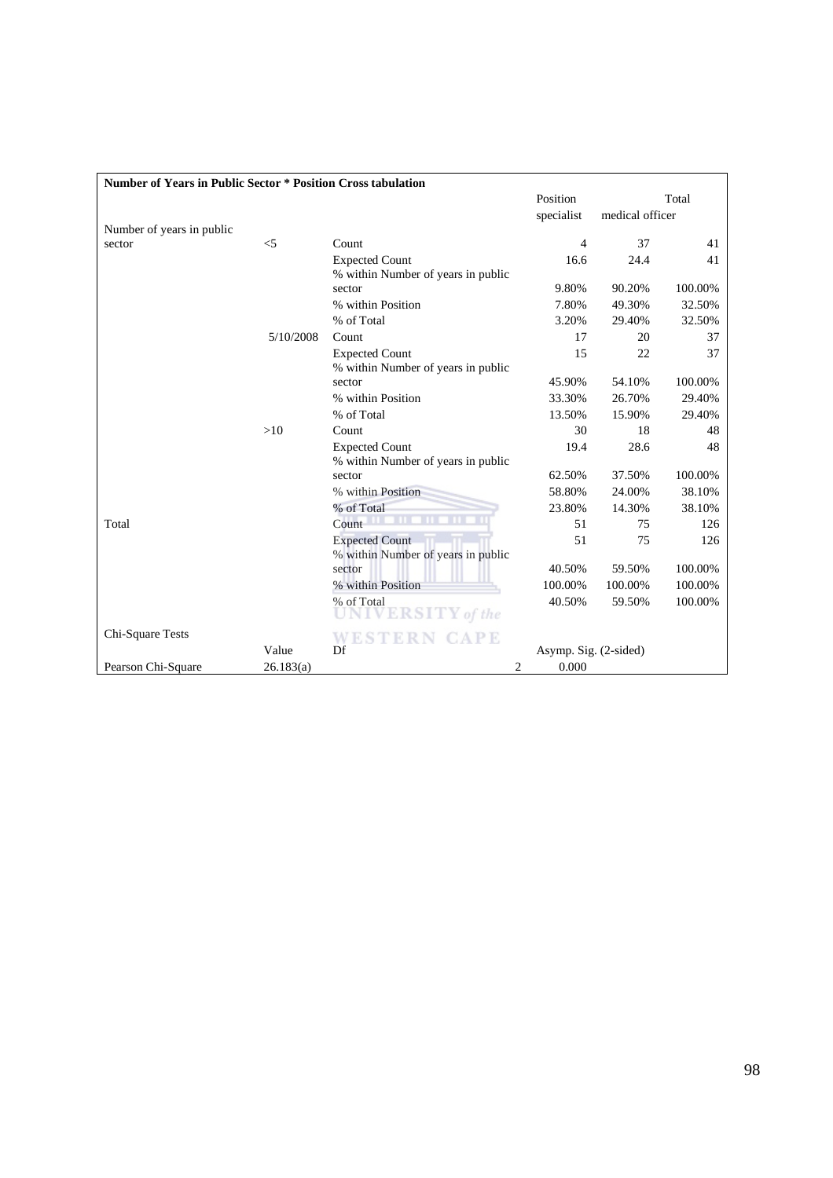| <b>Number of Years in Public Sector * Position Cross tabulation</b> |           |                                                             |                               |         |         |  |  |  |
|---------------------------------------------------------------------|-----------|-------------------------------------------------------------|-------------------------------|---------|---------|--|--|--|
|                                                                     |           |                                                             | Position                      | Total   |         |  |  |  |
|                                                                     |           |                                                             | specialist<br>medical officer |         |         |  |  |  |
| Number of years in public                                           |           |                                                             |                               |         |         |  |  |  |
| sector                                                              | $<$ 5     | Count                                                       | $\overline{4}$                | 37      | 41      |  |  |  |
|                                                                     |           | <b>Expected Count</b><br>% within Number of years in public | 16.6                          | 24.4    | 41      |  |  |  |
|                                                                     |           | sector                                                      | 9.80%                         | 90.20%  | 100.00% |  |  |  |
|                                                                     |           | % within Position                                           | 7.80%                         | 49.30%  | 32.50%  |  |  |  |
|                                                                     |           | % of Total                                                  | 3.20%                         | 29.40%  | 32.50%  |  |  |  |
|                                                                     | 5/10/2008 | Count                                                       | 17                            | 20      | 37      |  |  |  |
|                                                                     |           | <b>Expected Count</b><br>% within Number of years in public | 15                            | 22      | 37      |  |  |  |
|                                                                     |           | sector                                                      | 45.90%                        | 54.10%  | 100.00% |  |  |  |
|                                                                     |           | % within Position                                           | 33.30%                        | 26.70%  | 29.40%  |  |  |  |
|                                                                     |           | % of Total                                                  | 13.50%                        | 15.90%  | 29.40%  |  |  |  |
|                                                                     | >10       | Count                                                       | 30                            | 18      | 48      |  |  |  |
|                                                                     |           | <b>Expected Count</b><br>% within Number of years in public | 19.4                          | 28.6    | 48      |  |  |  |
|                                                                     |           | sector                                                      | 62.50%                        | 37.50%  | 100.00% |  |  |  |
|                                                                     |           | % within Position                                           | 58.80%                        | 24.00%  | 38.10%  |  |  |  |
|                                                                     |           | % of Total                                                  | 23.80%                        | 14.30%  | 38.10%  |  |  |  |
| Total                                                               |           | Count                                                       | 51                            | 75      | 126     |  |  |  |
|                                                                     |           | <b>Expected Count</b><br>% within Number of years in public | 51                            | 75      | 126     |  |  |  |
|                                                                     |           | sector                                                      | 40.50%                        | 59.50%  | 100.00% |  |  |  |
|                                                                     |           | % within Position                                           | 100.00%                       | 100.00% | 100.00% |  |  |  |
|                                                                     |           | % of Total<br><b>ERSITY</b> of the                          | 40.50%                        | 59.50%  | 100.00% |  |  |  |
| Chi-Square Tests                                                    |           | <b><i>APE</i></b><br>WESTERN                                |                               |         |         |  |  |  |
|                                                                     | Value     | Df                                                          | Asymp. Sig. (2-sided)         |         |         |  |  |  |
| Pearson Chi-Square                                                  | 26.183(a) | 2                                                           | 0.000                         |         |         |  |  |  |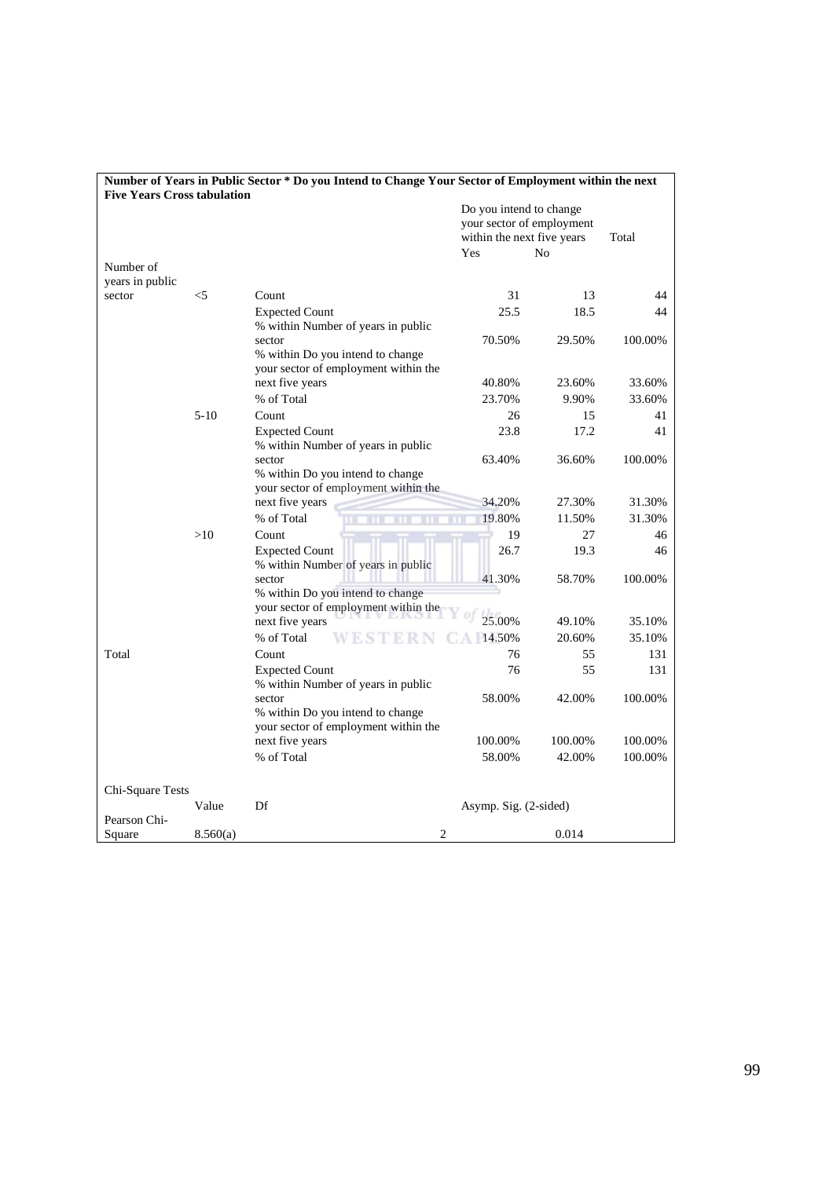|                                    |          | Number of Years in Public Sector * Do you Intend to Change Your Sector of Employment within the next |                                                                                    |         |         |
|------------------------------------|----------|------------------------------------------------------------------------------------------------------|------------------------------------------------------------------------------------|---------|---------|
| <b>Five Years Cross tabulation</b> |          |                                                                                                      | Do you intend to change<br>your sector of employment<br>within the next five years | Total   |         |
|                                    |          |                                                                                                      | Yes<br>No                                                                          |         |         |
| Number of                          |          |                                                                                                      |                                                                                    |         |         |
| years in public<br>sector          | $<$ 5    | Count                                                                                                | 31                                                                                 | 13      | 44      |
|                                    |          |                                                                                                      |                                                                                    |         |         |
|                                    |          | <b>Expected Count</b><br>% within Number of years in public                                          | 25.5                                                                               | 18.5    | 44      |
|                                    |          | sector                                                                                               | 70.50%                                                                             | 29.50%  | 100.00% |
|                                    |          | % within Do you intend to change                                                                     |                                                                                    |         |         |
|                                    |          | your sector of employment within the                                                                 |                                                                                    |         |         |
|                                    |          | next five years                                                                                      | 40.80%                                                                             | 23.60%  | 33.60%  |
|                                    |          | % of Total                                                                                           | 23.70%                                                                             | 9.90%   | 33.60%  |
|                                    | $5 - 10$ | Count                                                                                                | 26                                                                                 | 15      | 41      |
|                                    |          | <b>Expected Count</b>                                                                                | 23.8                                                                               | 17.2    | 41      |
|                                    |          | % within Number of years in public                                                                   |                                                                                    |         |         |
|                                    |          | sector                                                                                               | 63.40%                                                                             | 36.60%  | 100.00% |
|                                    |          | % within Do you intend to change                                                                     |                                                                                    |         |         |
|                                    |          | your sector of employment within the                                                                 | 34.20%                                                                             |         |         |
|                                    |          | next five years<br>% of Total                                                                        |                                                                                    | 27.30%  | 31.30%  |
|                                    | >10      | Count                                                                                                | 19.80%                                                                             | 11.50%  | 31.30%  |
|                                    |          |                                                                                                      | 19                                                                                 | 27      | 46      |
|                                    |          | <b>Expected Count</b><br>% within Number of years in public                                          | 26.7                                                                               | 19.3    | 46      |
|                                    |          | sector                                                                                               | 41.30%                                                                             | 58.70%  | 100.00% |
|                                    |          | % within Do you intend to change                                                                     |                                                                                    |         |         |
|                                    |          | your sector of employment within the<br>next five years                                              | 25.00%                                                                             | 49.10%  |         |
|                                    |          | % of Total                                                                                           |                                                                                    |         | 35.10%  |
| Total                              |          | ESTERN                                                                                               | 14.50%                                                                             | 20.60%  | 35.10%  |
|                                    |          | Count                                                                                                | 76                                                                                 | 55      | 131     |
|                                    |          | <b>Expected Count</b><br>% within Number of years in public                                          | 76                                                                                 | 55      | 131     |
|                                    |          | sector                                                                                               | 58.00%                                                                             | 42.00%  | 100.00% |
|                                    |          | % within Do you intend to change                                                                     |                                                                                    |         |         |
|                                    |          | your sector of employment within the                                                                 |                                                                                    |         |         |
|                                    |          | next five years                                                                                      | 100.00%                                                                            | 100.00% | 100.00% |
|                                    |          | % of Total                                                                                           | 58.00%                                                                             | 42.00%  | 100.00% |
|                                    |          |                                                                                                      |                                                                                    |         |         |
| Chi-Square Tests                   |          |                                                                                                      |                                                                                    |         |         |
|                                    | Value    | Df                                                                                                   | Asymp. Sig. (2-sided)                                                              |         |         |
| Pearson Chi-                       |          |                                                                                                      |                                                                                    |         |         |
| Square                             | 8.560(a) | $\overline{2}$                                                                                       |                                                                                    | 0.014   |         |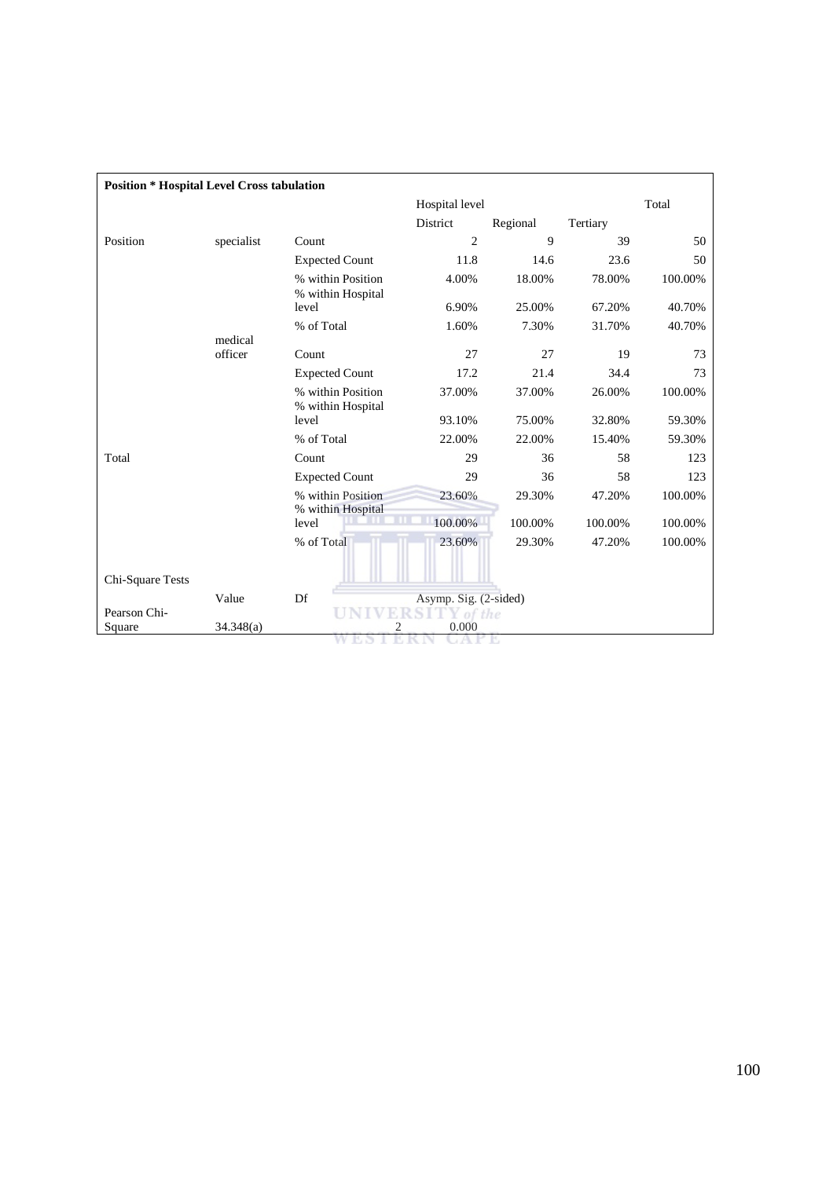| <b>Position * Hospital Level Cross tabulation</b> |                    |                                        |                       |          |          |         |  |
|---------------------------------------------------|--------------------|----------------------------------------|-----------------------|----------|----------|---------|--|
|                                                   |                    |                                        | Hospital level        |          |          | Total   |  |
|                                                   |                    |                                        | District              | Regional | Tertiary |         |  |
| Position                                          | specialist         | Count                                  | $\overline{2}$        | 9        | 39       | 50      |  |
|                                                   |                    | <b>Expected Count</b>                  | 11.8                  | 14.6     | 23.6     | 50      |  |
|                                                   |                    | % within Position<br>% within Hospital | 4.00%                 | 18.00%   | 78.00%   | 100.00% |  |
|                                                   |                    | level                                  | 6.90%                 | 25.00%   | 67.20%   | 40.70%  |  |
|                                                   |                    | % of Total                             | 1.60%                 | 7.30%    | 31.70%   | 40.70%  |  |
|                                                   | medical<br>officer | Count                                  | 27                    | 27       | 19       | 73      |  |
|                                                   |                    | <b>Expected Count</b>                  | 17.2                  | 21.4     | 34.4     | 73      |  |
|                                                   |                    | % within Position<br>% within Hospital | 37.00%                | 37.00%   | 26.00%   | 100.00% |  |
|                                                   |                    | level                                  | 93.10%                | 75.00%   | 32.80%   | 59.30%  |  |
|                                                   |                    | % of Total                             | 22.00%                | 22.00%   | 15.40%   | 59.30%  |  |
| Total                                             |                    | Count                                  | 29                    | 36       | 58       | 123     |  |
|                                                   |                    | <b>Expected Count</b>                  | 29                    | 36       | 58       | 123     |  |
|                                                   |                    | % within Position<br>% within Hospital | 23.60%                | 29.30%   | 47.20%   | 100.00% |  |
|                                                   |                    | level                                  | 100.00%               | 100.00%  | 100.00%  | 100.00% |  |
|                                                   |                    | % of Total                             | 23.60%                | 29.30%   | 47.20%   | 100.00% |  |
| Chi-Square Tests                                  |                    |                                        |                       |          |          |         |  |
|                                                   | Value              | Df                                     | Asymp. Sig. (2-sided) |          |          |         |  |
| Pearson Chi-                                      |                    | $\overline{2}$                         | of the<br>0.000       |          |          |         |  |
| Square                                            | 34.348(a)          |                                        |                       |          |          |         |  |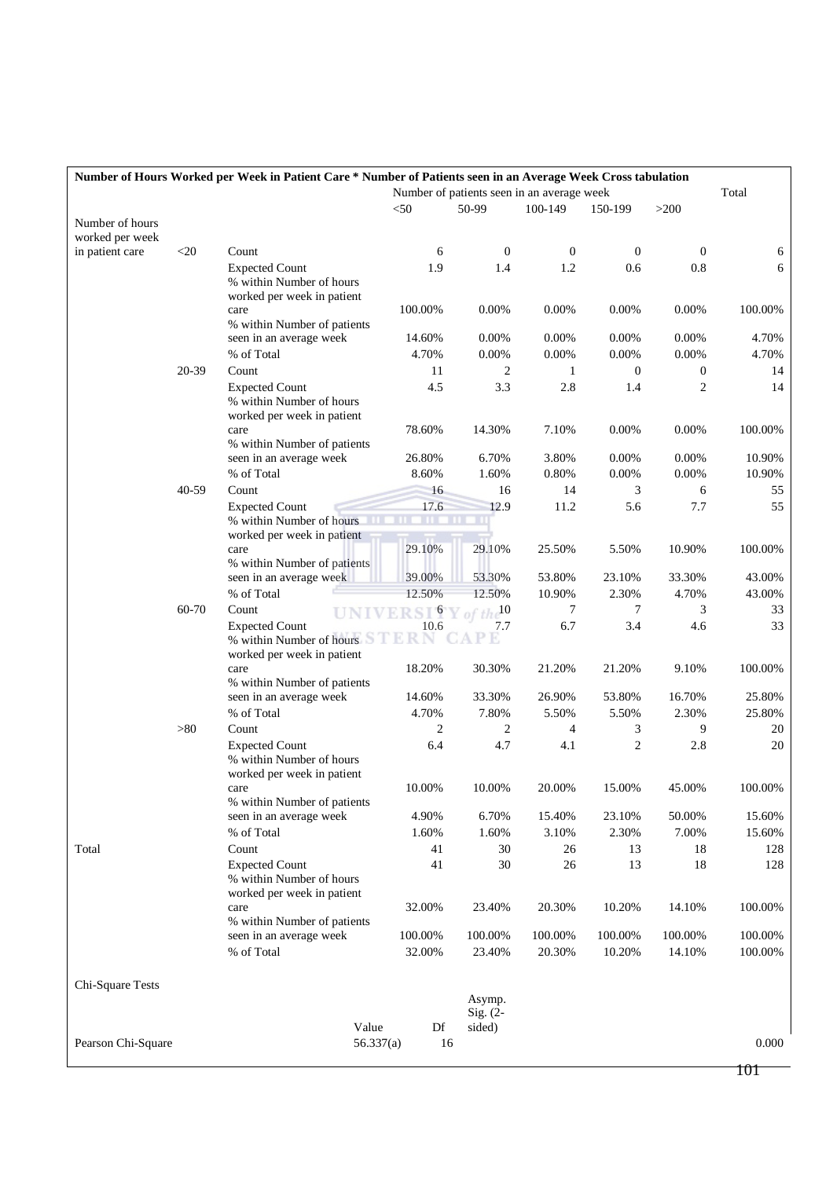| Number of Hours Worked per Week in Patient Care * Number of Patients seen in an Average Week Cross tabulation |        |                                                   |           |                                            |                               |                  |                  |                  |         |
|---------------------------------------------------------------------------------------------------------------|--------|---------------------------------------------------|-----------|--------------------------------------------|-------------------------------|------------------|------------------|------------------|---------|
|                                                                                                               |        |                                                   |           | Number of patients seen in an average week |                               |                  |                  |                  | Total   |
|                                                                                                               |        |                                                   | $<$ 50    |                                            | 50-99                         | 100-149          | 150-199          | >200             |         |
| Number of hours                                                                                               |        |                                                   |           |                                            |                               |                  |                  |                  |         |
| worked per week                                                                                               |        |                                                   |           |                                            |                               |                  |                  |                  |         |
| in patient care                                                                                               | $<$ 20 | Count                                             |           | 6                                          | $\mathbf{0}$                  | $\boldsymbol{0}$ | $\boldsymbol{0}$ | $\overline{0}$   | 6       |
|                                                                                                               |        | <b>Expected Count</b><br>% within Number of hours |           | 1.9                                        | 1.4                           | 1.2              | 0.6              | 0.8              | 6       |
|                                                                                                               |        | worked per week in patient                        |           |                                            |                               |                  |                  |                  |         |
|                                                                                                               |        | care                                              |           | 100.00%                                    | 0.00%                         | 0.00%            | 0.00%            | 0.00%            | 100.00% |
|                                                                                                               |        | % within Number of patients                       |           |                                            |                               |                  |                  |                  |         |
|                                                                                                               |        | seen in an average week                           |           | 14.60%                                     | 0.00%                         | 0.00%            | 0.00%            | 0.00%            | 4.70%   |
|                                                                                                               |        | % of Total                                        |           | 4.70%                                      | 0.00%                         | 0.00%            | 0.00%            | 0.00%            | 4.70%   |
|                                                                                                               | 20-39  | Count                                             |           | 11                                         | 2                             | 1                | $\boldsymbol{0}$ | $\boldsymbol{0}$ | 14      |
|                                                                                                               |        | <b>Expected Count</b>                             |           | 4.5                                        | 3.3                           | 2.8              | 1.4              | 2                | 14      |
|                                                                                                               |        | % within Number of hours                          |           |                                            |                               |                  |                  |                  |         |
|                                                                                                               |        | worked per week in patient                        |           |                                            |                               |                  |                  |                  |         |
|                                                                                                               |        | care                                              |           | 78.60%                                     | 14.30%                        | 7.10%            | 0.00%            | 0.00%            | 100.00% |
|                                                                                                               |        | % within Number of patients                       |           |                                            |                               |                  |                  |                  |         |
|                                                                                                               |        | seen in an average week                           |           | 26.80%                                     | 6.70%                         | 3.80%            | 0.00%            | 0.00%            | 10.90%  |
|                                                                                                               |        | % of Total                                        |           | 8.60%                                      | 1.60%                         | 0.80%            | 0.00%            | 0.00%            | 10.90%  |
|                                                                                                               | 40-59  | Count                                             |           | 16                                         | 16                            | 14               | 3                | 6                | 55      |
|                                                                                                               |        | <b>Expected Count</b>                             |           | 17.6                                       | 12.9                          | 11.2             | 5.6              | 7.7              | 55      |
|                                                                                                               |        | % within Number of hours                          |           | I II I                                     | ш<br>ш                        |                  |                  |                  |         |
|                                                                                                               |        | worked per week in patient<br>care                |           | 29.10%                                     | 29.10%                        | 25.50%           | 5.50%            | 10.90%           | 100.00% |
|                                                                                                               |        | % within Number of patients                       |           |                                            |                               |                  |                  |                  |         |
|                                                                                                               |        | seen in an average week                           |           | 39.00%                                     | 53.30%                        | 53.80%           | 23.10%           | 33.30%           | 43.00%  |
|                                                                                                               |        | % of Total                                        |           | 12.50%                                     | 12.50%                        | 10.90%           | 2.30%            | 4.70%            | 43.00%  |
|                                                                                                               | 60-70  | Count                                             |           |                                            | $RSI\,Y$ of the <sup>10</sup> | 7                | 7                | 3                | 33      |
|                                                                                                               |        | <b>Expected Count</b>                             |           | 10.6                                       | 7.7                           | 6.7              | 3.4              | 4.6              | 33      |
|                                                                                                               |        | % within Number of hours                          |           | ERN                                        |                               |                  |                  |                  |         |
|                                                                                                               |        | worked per week in patient                        |           |                                            |                               |                  |                  |                  |         |
|                                                                                                               |        | care                                              |           | 18.20%                                     | 30.30%                        | 21.20%           | 21.20%           | 9.10%            | 100.00% |
|                                                                                                               |        | % within Number of patients                       |           |                                            |                               |                  |                  |                  |         |
|                                                                                                               |        | seen in an average week                           |           | 14.60%                                     | 33.30%                        | 26.90%           | 53.80%           | 16.70%           | 25.80%  |
|                                                                                                               |        | % of Total                                        |           | 4.70%                                      | 7.80%                         | 5.50%            | 5.50%            | 2.30%            | 25.80%  |
|                                                                                                               | >80    | Count                                             |           | 2                                          | $\overline{c}$                | 4                | 3                | 9                | 20      |
|                                                                                                               |        | <b>Expected Count</b>                             |           | 6.4                                        | 4.7                           | 4.1              | $\overline{2}$   | 2.8              | 20      |
|                                                                                                               |        | % within Number of hours                          |           |                                            |                               |                  |                  |                  |         |
|                                                                                                               |        | worked per week in patient                        |           | 10.00%                                     | 10.00%                        | 20.00%           | 15.00%           | 45.00%           | 100.00% |
|                                                                                                               |        | care<br>% within Number of patients               |           |                                            |                               |                  |                  |                  |         |
|                                                                                                               |        | seen in an average week                           |           | 4.90%                                      | 6.70%                         | 15.40%           | 23.10%           | 50.00%           | 15.60%  |
|                                                                                                               |        | % of Total                                        |           | 1.60%                                      | 1.60%                         | 3.10%            | 2.30%            | 7.00%            | 15.60%  |
| Total                                                                                                         |        | Count                                             |           | 41                                         | 30                            | 26               | 13               | 18               | 128     |
|                                                                                                               |        | <b>Expected Count</b>                             |           | 41                                         | 30                            | 26               | 13               | 18               | 128     |
|                                                                                                               |        | % within Number of hours                          |           |                                            |                               |                  |                  |                  |         |
|                                                                                                               |        | worked per week in patient                        |           |                                            |                               |                  |                  |                  |         |
|                                                                                                               |        | care                                              |           | 32.00%                                     | 23.40%                        | 20.30%           | 10.20%           | 14.10%           | 100.00% |
|                                                                                                               |        | % within Number of patients                       |           |                                            |                               |                  |                  |                  |         |
|                                                                                                               |        | seen in an average week                           |           | 100.00%                                    | 100.00%                       | 100.00%          | 100.00%          | 100.00%          | 100.00% |
|                                                                                                               |        | % of Total                                        |           | 32.00%                                     | 23.40%                        | 20.30%           | 10.20%           | 14.10%           | 100.00% |
|                                                                                                               |        |                                                   |           |                                            |                               |                  |                  |                  |         |
| Chi-Square Tests                                                                                              |        |                                                   |           |                                            |                               |                  |                  |                  |         |
|                                                                                                               |        |                                                   |           |                                            | Asymp.                        |                  |                  |                  |         |
|                                                                                                               |        |                                                   |           |                                            | $Sig. (2-$                    |                  |                  |                  |         |
|                                                                                                               |        |                                                   | Value     | Df                                         | sided)                        |                  |                  |                  |         |
| Pearson Chi-Square                                                                                            |        |                                                   | 56.337(a) | 16                                         |                               |                  |                  |                  | 0.000   |
|                                                                                                               |        |                                                   |           |                                            |                               |                  |                  |                  |         |